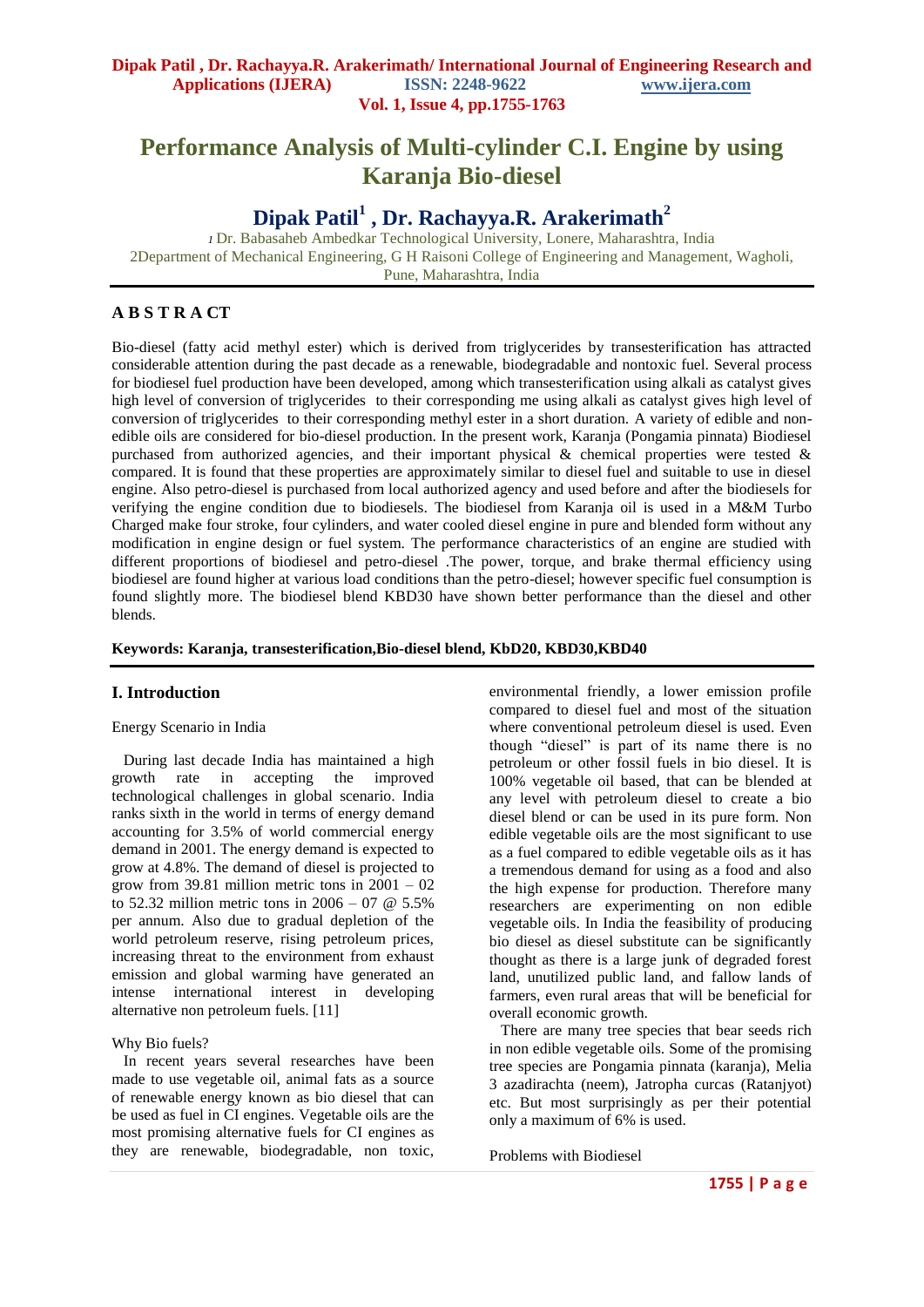# **Performance Analysis of Multi-cylinder C.I. Engine by using Karanja Bio-diesel**

**Dipak Patil<sup>1</sup> , Dr. Rachayya.R. Arakerimath<sup>2</sup>**

*<sup>1</sup>*Dr. Babasaheb Ambedkar Technological University, Lonere, Maharashtra, India 2Department of Mechanical Engineering, G H Raisoni College of Engineering and Management, Wagholi, Pune, Maharashtra, India

# **A B S T R A CT**

Bio-diesel (fatty acid methyl ester) which is derived from triglycerides by transesterification has attracted considerable attention during the past decade as a renewable, biodegradable and nontoxic fuel. Several process for biodiesel fuel production have been developed, among which transesterification using alkali as catalyst gives high level of conversion of triglycerides to their corresponding me using alkali as catalyst gives high level of conversion of triglycerides to their corresponding methyl ester in a short duration. A variety of edible and nonedible oils are considered for bio-diesel production. In the present work, Karanja (Pongamia pinnata) Biodiesel purchased from authorized agencies, and their important physical & chemical properties were tested & compared. It is found that these properties are approximately similar to diesel fuel and suitable to use in diesel engine. Also petro-diesel is purchased from local authorized agency and used before and after the biodiesels for verifying the engine condition due to biodiesels. The biodiesel from Karanja oil is used in a M&M Turbo Charged make four stroke, four cylinders, and water cooled diesel engine in pure and blended form without any modification in engine design or fuel system. The performance characteristics of an engine are studied with different proportions of biodiesel and petro-diesel .The power, torque, and brake thermal efficiency using biodiesel are found higher at various load conditions than the petro-diesel; however specific fuel consumption is found slightly more. The biodiesel blend KBD30 have shown better performance than the diesel and other blends.

**Keywords: Karanja, transesterification,Bio-diesel blend, KbD20, KBD30,KBD40**

#### **I. Introduction**

Energy Scenario in India

 During last decade India has maintained a high growth rate in accepting the improved technological challenges in global scenario. India ranks sixth in the world in terms of energy demand accounting for 3.5% of world commercial energy demand in 2001. The energy demand is expected to grow at 4.8%. The demand of diesel is projected to grow from 39.81 million metric tons in  $2001 - 02$ to 52.32 million metric tons in  $2006 - 07$  @ 5.5% per annum. Also due to gradual depletion of the world petroleum reserve, rising petroleum prices, increasing threat to the environment from exhaust emission and global warming have generated an intense international interest in developing alternative non petroleum fuels. [11]

#### Why Bio fuels?

 In recent years several researches have been made to use vegetable oil, animal fats as a source of renewable energy known as bio diesel that can be used as fuel in CI engines. Vegetable oils are the most promising alternative fuels for CI engines as they are renewable, biodegradable, non toxic,

environmental friendly, a lower emission profile compared to diesel fuel and most of the situation where conventional petroleum diesel is used. Even though "diesel" is part of its name there is no petroleum or other fossil fuels in bio diesel. It is 100% vegetable oil based, that can be blended at any level with petroleum diesel to create a bio diesel blend or can be used in its pure form. Non edible vegetable oils are the most significant to use as a fuel compared to edible vegetable oils as it has a tremendous demand for using as a food and also the high expense for production. Therefore many researchers are experimenting on non edible vegetable oils. In India the feasibility of producing bio diesel as diesel substitute can be significantly thought as there is a large junk of degraded forest land, unutilized public land, and fallow lands of farmers, even rural areas that will be beneficial for overall economic growth.

 There are many tree species that bear seeds rich in non edible vegetable oils. Some of the promising tree species are Pongamia pinnata (karanja), Melia 3 azadirachta (neem), Jatropha curcas (Ratanjyot) etc. But most surprisingly as per their potential only a maximum of 6% is used.

Problems with Biodiesel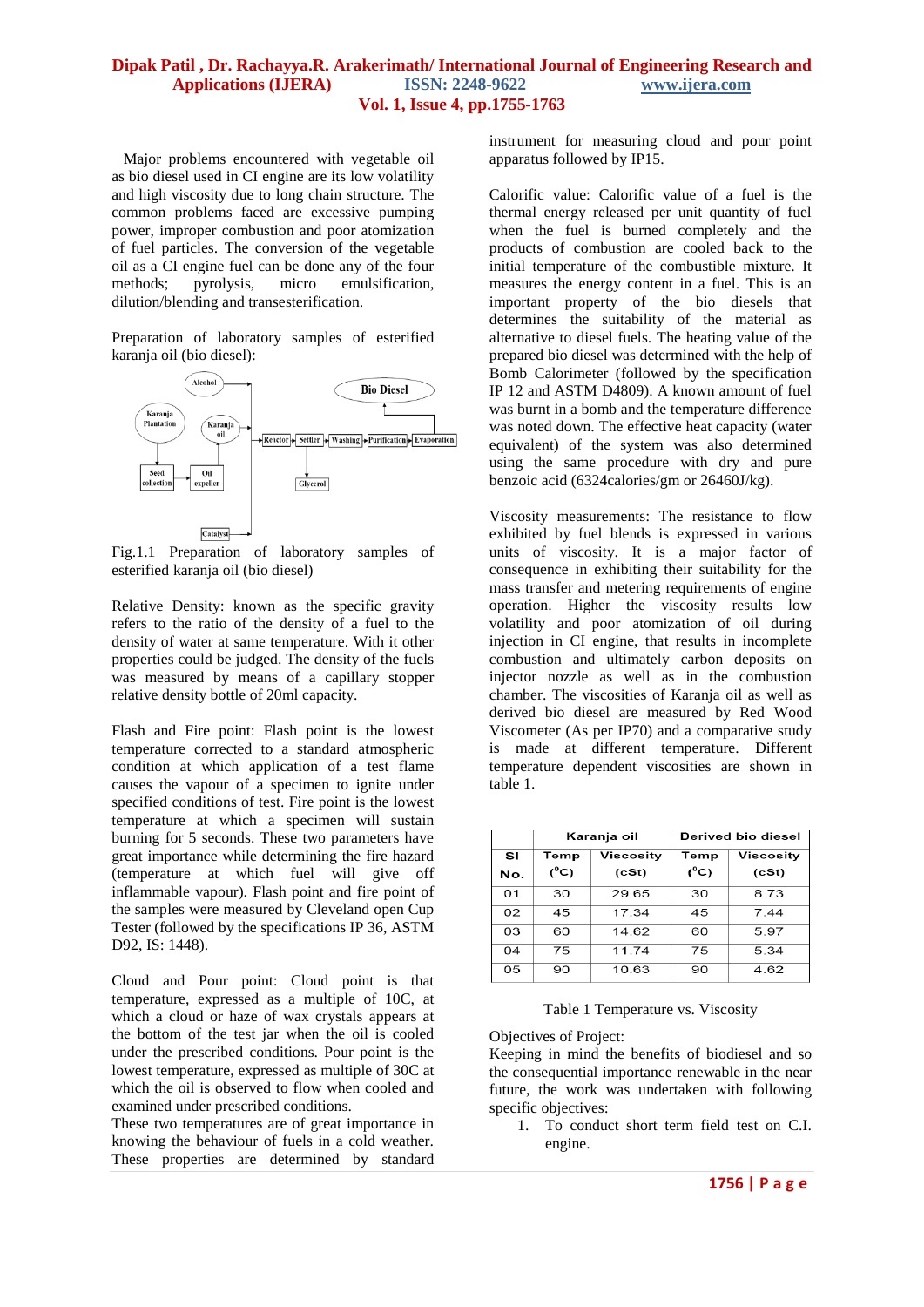Major problems encountered with vegetable oil as bio diesel used in CI engine are its low volatility and high viscosity due to long chain structure. The common problems faced are excessive pumping power, improper combustion and poor atomization of fuel particles. The conversion of the vegetable oil as a CI engine fuel can be done any of the four methods; pyrolysis, micro emulsification, dilution/blending and transesterification.

Preparation of laboratory samples of esterified karanja oil (bio diesel):



Fig.1.1 Preparation of laboratory samples of esterified karanja oil (bio diesel)

Relative Density: known as the specific gravity refers to the ratio of the density of a fuel to the density of water at same temperature. With it other properties could be judged. The density of the fuels was measured by means of a capillary stopper relative density bottle of 20ml capacity.

Flash and Fire point: Flash point is the lowest temperature corrected to a standard atmospheric condition at which application of a test flame causes the vapour of a specimen to ignite under specified conditions of test. Fire point is the lowest temperature at which a specimen will sustain burning for 5 seconds. These two parameters have great importance while determining the fire hazard (temperature at which fuel will give off inflammable vapour). Flash point and fire point of the samples were measured by Cleveland open Cup Tester (followed by the specifications IP 36, ASTM D92, IS: 1448).

Cloud and Pour point: Cloud point is that temperature, expressed as a multiple of 10C, at which a cloud or haze of wax crystals appears at the bottom of the test jar when the oil is cooled under the prescribed conditions. Pour point is the lowest temperature, expressed as multiple of 30C at which the oil is observed to flow when cooled and examined under prescribed conditions.

These two temperatures are of great importance in knowing the behaviour of fuels in a cold weather. These properties are determined by standard

instrument for measuring cloud and pour point apparatus followed by IP15.

Calorific value: Calorific value of a fuel is the thermal energy released per unit quantity of fuel when the fuel is burned completely and the products of combustion are cooled back to the initial temperature of the combustible mixture. It measures the energy content in a fuel. This is an important property of the bio diesels that determines the suitability of the material as alternative to diesel fuels. The heating value of the prepared bio diesel was determined with the help of Bomb Calorimeter (followed by the specification IP 12 and ASTM D4809). A known amount of fuel was burnt in a bomb and the temperature difference was noted down. The effective heat capacity (water equivalent) of the system was also determined using the same procedure with dry and pure benzoic acid (6324calories/gm or 26460J/kg).

Viscosity measurements: The resistance to flow exhibited by fuel blends is expressed in various units of viscosity. It is a major factor of consequence in exhibiting their suitability for the mass transfer and metering requirements of engine operation. Higher the viscosity results low volatility and poor atomization of oil during injection in CI engine, that results in incomplete combustion and ultimately carbon deposits on injector nozzle as well as in the combustion chamber. The viscosities of Karanja oil as well as derived bio diesel are measured by Red Wood Viscometer (As per IP70) and a comparative study is made at different temperature. Different temperature dependent viscosities are shown in table 1.

|     | Karanja oil   |           | Derived bio diesel |           |
|-----|---------------|-----------|--------------------|-----------|
| SI  | Temp          | Viscosity | Temp               | Viscosity |
| No. | $(^{\circ}C)$ | (cSt)     | $(^{\circ}C)$      | (cSt)     |
| 01  | 30            | 29.65     | 30                 | 8.73      |
| 02  | 45            | 17.34     | 45                 | 7.44      |
| 03  | 60            | 14.62     | 60                 | 5.97      |
| 04  | 75            | 11.74     | 75                 | 5.34      |
| 05  | 90            | 10.63     | 90                 | 4.62      |

Table 1 Temperature vs. Viscosity

Objectives of Project:

Keeping in mind the benefits of biodiesel and so the consequential importance renewable in the near future, the work was undertaken with following specific objectives:

1. To conduct short term field test on C.I. engine.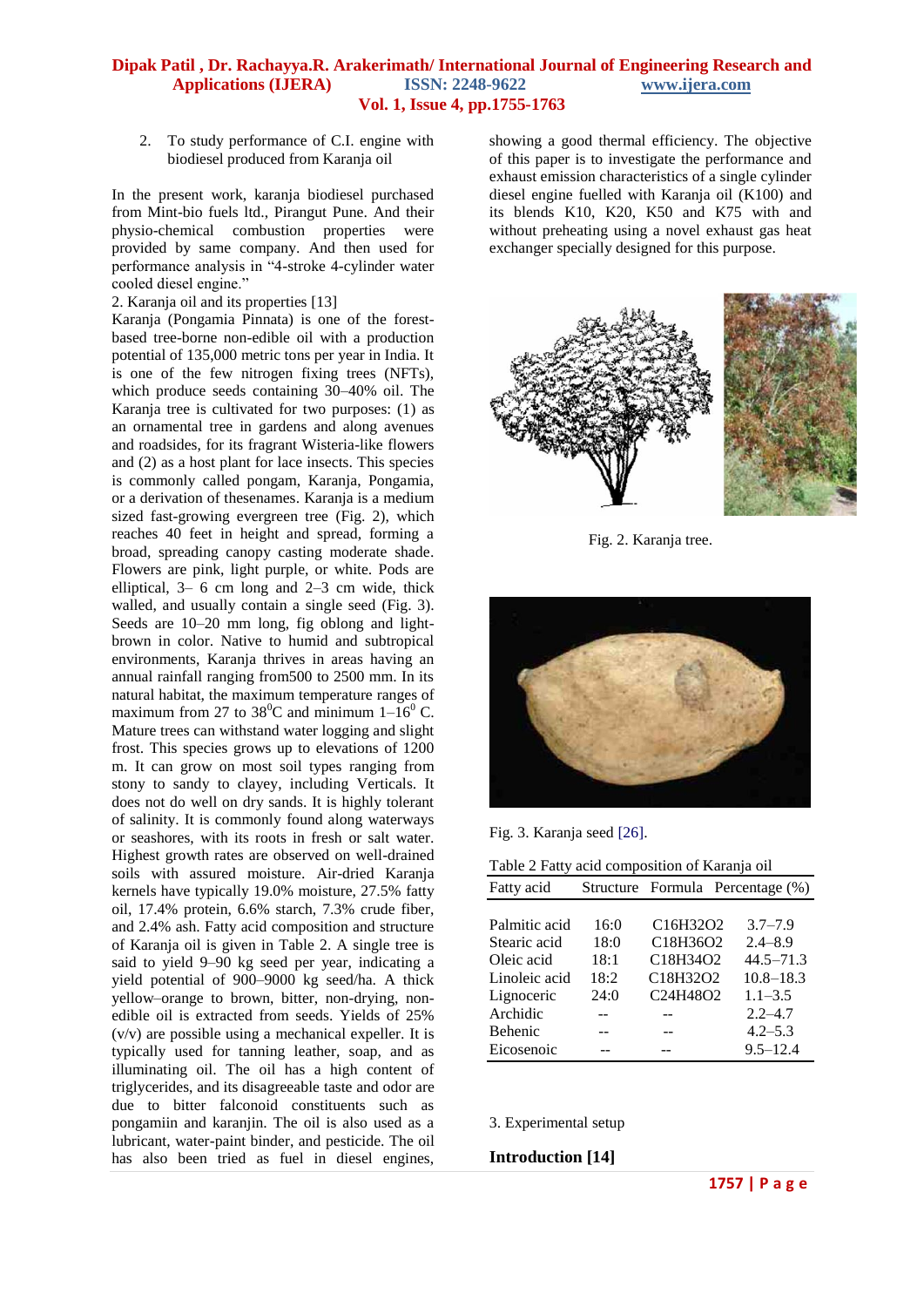2. To study performance of C.I. engine with biodiesel produced from Karanja oil

In the present work, karanja biodiesel purchased from Mint-bio fuels ltd., Pirangut Pune. And their physio-chemical combustion properties were provided by same company. And then used for performance analysis in "4-stroke 4-cylinder water cooled diesel engine."

2. Karanja oil and its properties [13]

Karanja (Pongamia Pinnata) is one of the forestbased tree-borne non-edible oil with a production potential of 135,000 metric tons per year in India. It is one of the few nitrogen fixing trees (NFTs), which produce seeds containing 30–40% oil. The Karanja tree is cultivated for two purposes: (1) as an ornamental tree in gardens and along avenues and roadsides, for its fragrant Wisteria-like flowers and (2) as a host plant for lace insects. This species is commonly called pongam, Karanja, Pongamia, or a derivation of thesenames. Karanja is a medium sized fast-growing evergreen tree (Fig. 2), which reaches 40 feet in height and spread, forming a broad, spreading canopy casting moderate shade. Flowers are pink, light purple, or white. Pods are elliptical, 3– 6 cm long and 2–3 cm wide, thick walled, and usually contain a single seed (Fig. 3). Seeds are 10–20 mm long, fig oblong and lightbrown in color. Native to humid and subtropical environments, Karanja thrives in areas having an annual rainfall ranging from500 to 2500 mm. In its natural habitat, the maximum temperature ranges of maximum from 27 to 38<sup>0</sup>C and minimum  $1-\overline{16}^0$  C. Mature trees can withstand water logging and slight frost. This species grows up to elevations of 1200 m. It can grow on most soil types ranging from stony to sandy to clayey, including Verticals. It does not do well on dry sands. It is highly tolerant of salinity. It is commonly found along waterways or seashores, with its roots in fresh or salt water. Highest growth rates are observed on well-drained soils with assured moisture. Air-dried Karanja kernels have typically 19.0% moisture, 27.5% fatty oil, 17.4% protein, 6.6% starch, 7.3% crude fiber, and 2.4% ash. Fatty acid composition and structure of Karanja oil is given in Table 2. A single tree is said to yield 9–90 kg seed per year, indicating a yield potential of 900–9000 kg seed/ha. A thick yellow–orange to brown, bitter, non-drying, nonedible oil is extracted from seeds. Yields of 25% (v/v) are possible using a mechanical expeller. It is typically used for tanning leather, soap, and as illuminating oil. The oil has a high content of triglycerides, and its disagreeable taste and odor are due to bitter falconoid constituents such as pongamiin and karanjin. The oil is also used as a lubricant, water-paint binder, and pesticide. The oil has also been tried as fuel in diesel engines,

showing a good thermal efficiency. The objective of this paper is to investigate the performance and exhaust emission characteristics of a single cylinder diesel engine fuelled with Karanja oil (K100) and its blends K10, K20, K50 and K75 with and without preheating using a novel exhaust gas heat exchanger specially designed for this purpose.



Fig. 2. Karanja tree.



Fig. 3. Karanja seed [26].

| Table 2 Fatty acid composition of Karanja oil |      |                                                |                                  |  |
|-----------------------------------------------|------|------------------------------------------------|----------------------------------|--|
| Fatty acid                                    |      |                                                | Structure Formula Percentage (%) |  |
|                                               |      |                                                |                                  |  |
| Palmitic acid                                 | 16:0 | C <sub>16</sub> H <sub>32</sub> O <sub>2</sub> | $3.7 - 7.9$                      |  |
| Stearic acid                                  | 18:0 | C18H36O2                                       | $2.4 - 8.9$                      |  |
| Oleic acid                                    | 18:1 | C18H34O2                                       | $44.5 - 71.3$                    |  |
| Linoleic acid                                 | 18:2 | C18H32O2                                       | $10.8 - 18.3$                    |  |
| Lignoceric                                    | 24:0 | C24H48O2                                       | $1.1 - 3.5$                      |  |
| Archidic                                      |      |                                                | $2.2 - 4.7$                      |  |
| <b>Behenic</b>                                |      |                                                | $4.2 - 5.3$                      |  |
| Eicosenoic                                    |      |                                                | $9.5 - 12.4$                     |  |
|                                               |      |                                                |                                  |  |

3. Experimental setup

**Introduction [14]**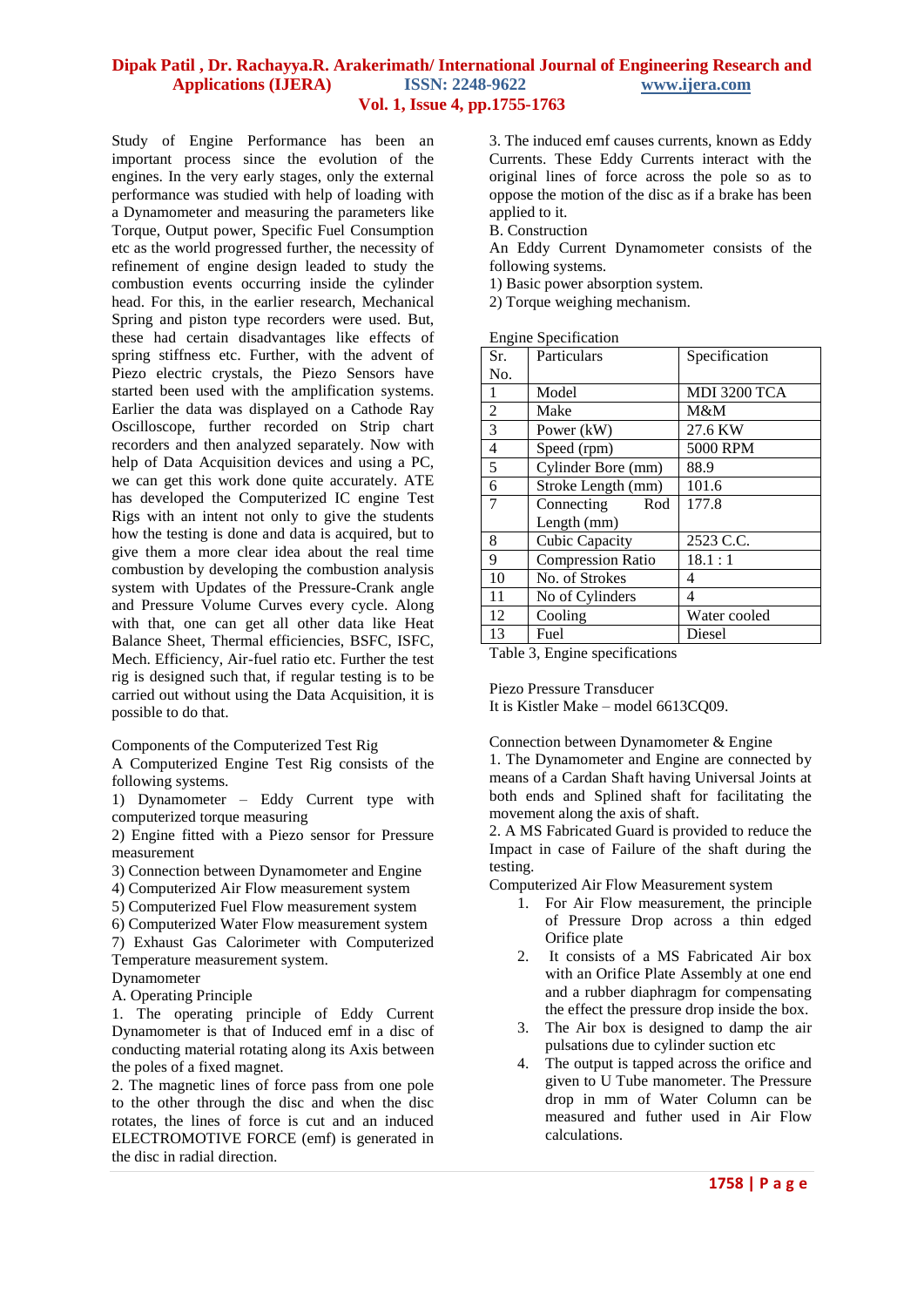Study of Engine Performance has been an important process since the evolution of the engines. In the very early stages, only the external performance was studied with help of loading with a Dynamometer and measuring the parameters like Torque, Output power, Specific Fuel Consumption etc as the world progressed further, the necessity of refinement of engine design leaded to study the combustion events occurring inside the cylinder head. For this, in the earlier research, Mechanical Spring and piston type recorders were used. But, these had certain disadvantages like effects of spring stiffness etc. Further, with the advent of Piezo electric crystals, the Piezo Sensors have started been used with the amplification systems. Earlier the data was displayed on a Cathode Ray Oscilloscope, further recorded on Strip chart recorders and then analyzed separately. Now with help of Data Acquisition devices and using a PC, we can get this work done quite accurately. ATE has developed the Computerized IC engine Test Rigs with an intent not only to give the students how the testing is done and data is acquired, but to give them a more clear idea about the real time combustion by developing the combustion analysis system with Updates of the Pressure-Crank angle and Pressure Volume Curves every cycle. Along with that, one can get all other data like Heat Balance Sheet, Thermal efficiencies, BSFC, ISFC, Mech. Efficiency, Air-fuel ratio etc. Further the test rig is designed such that, if regular testing is to be carried out without using the Data Acquisition, it is possible to do that.

Components of the Computerized Test Rig

A Computerized Engine Test Rig consists of the following systems.

1) Dynamometer – Eddy Current type with computerized torque measuring

2) Engine fitted with a Piezo sensor for Pressure measurement

3) Connection between Dynamometer and Engine

4) Computerized Air Flow measurement system

- 5) Computerized Fuel Flow measurement system
- 6) Computerized Water Flow measurement system

7) Exhaust Gas Calorimeter with Computerized Temperature measurement system.

Dynamometer

A. Operating Principle

1. The operating principle of Eddy Current Dynamometer is that of Induced emf in a disc of conducting material rotating along its Axis between the poles of a fixed magnet.

2. The magnetic lines of force pass from one pole to the other through the disc and when the disc rotates, the lines of force is cut and an induced ELECTROMOTIVE FORCE (emf) is generated in the disc in radial direction.

3. The induced emf causes currents, known as Eddy Currents. These Eddy Currents interact with the original lines of force across the pole so as to oppose the motion of the disc as if a brake has been applied to it.

B. Construction

An Eddy Current Dynamometer consists of the following systems.

1) Basic power absorption system.

2) Torque weighing mechanism.

Engine Specification

| o<br>Sr.       | Particulars              | Specification |  |
|----------------|--------------------------|---------------|--|
| No.            |                          |               |  |
| 1              | Model                    | MDI 3200 TCA  |  |
| $\overline{2}$ | Make                     | M&M           |  |
| 3              | Power (kW)               | 27.6 KW       |  |
| $\overline{4}$ | Speed (rpm)              | 5000 RPM      |  |
| 5              | Cylinder Bore (mm)       | 88.9          |  |
| 6              | Stroke Length (mm)       | 101.6         |  |
| 7              | Connecting<br>Rod        | 177.8         |  |
|                | Length (mm)              |               |  |
| 8              | <b>Cubic Capacity</b>    | 2523 C.C.     |  |
| 9              | <b>Compression Ratio</b> | 18.1:1        |  |
| 10             | No. of Strokes           | 4             |  |
| 11             | No of Cylinders          | 4             |  |
| 12             | Cooling                  | Water cooled  |  |
| 13             | Fuel                     | Diesel        |  |

Table 3, Engine specifications

Piezo Pressure Transducer

It is Kistler Make – model 6613CQ09.

Connection between Dynamometer & Engine

1. The Dynamometer and Engine are connected by means of a Cardan Shaft having Universal Joints at both ends and Splined shaft for facilitating the movement along the axis of shaft.

2. A MS Fabricated Guard is provided to reduce the Impact in case of Failure of the shaft during the testing.

Computerized Air Flow Measurement system

- 1. For Air Flow measurement, the principle of Pressure Drop across a thin edged Orifice plate
- 2. It consists of a MS Fabricated Air box with an Orifice Plate Assembly at one end and a rubber diaphragm for compensating the effect the pressure drop inside the box.
- 3. The Air box is designed to damp the air pulsations due to cylinder suction etc
- 4. The output is tapped across the orifice and given to U Tube manometer. The Pressure drop in mm of Water Column can be measured and futher used in Air Flow calculations.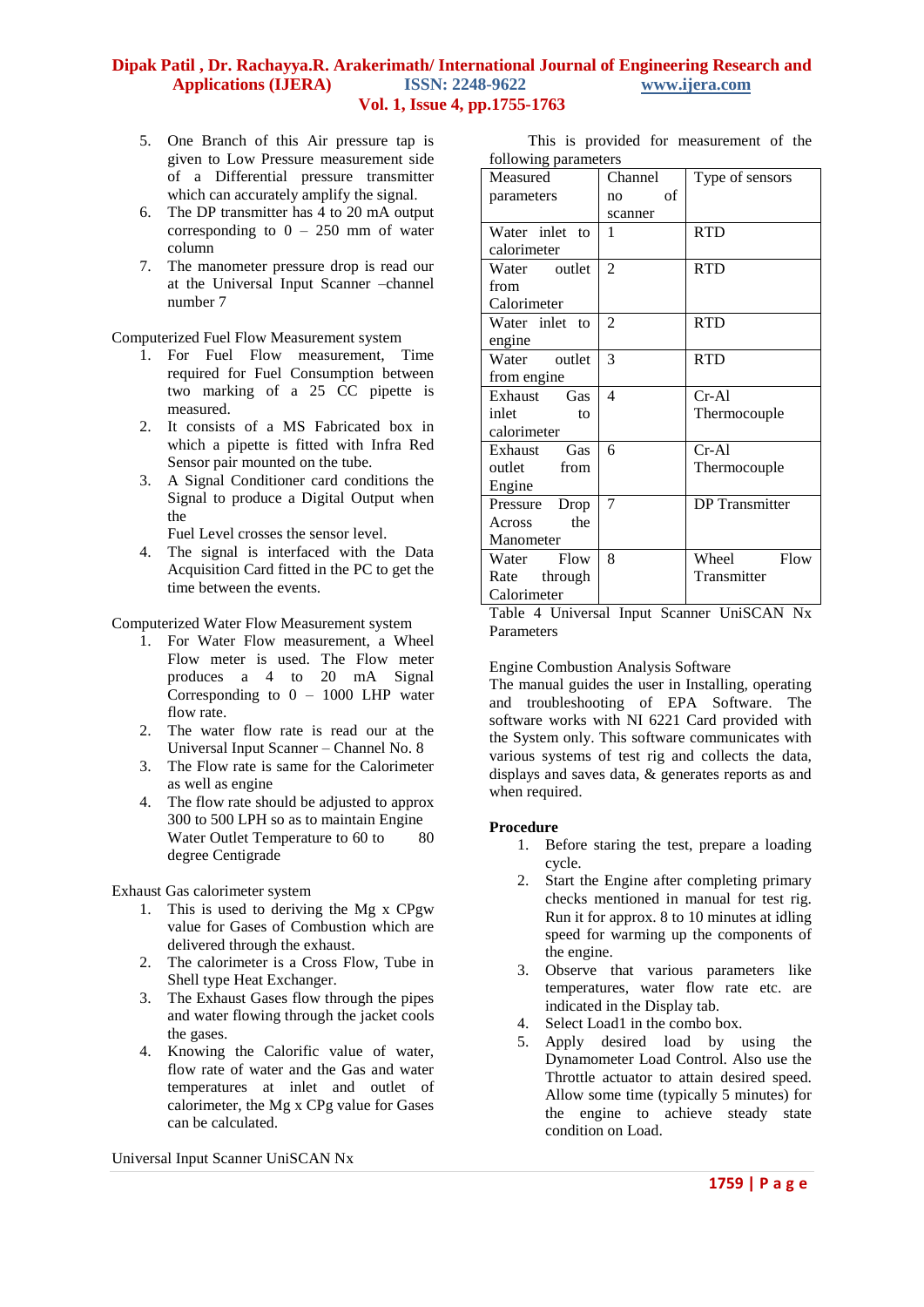- 5. One Branch of this Air pressure tap is given to Low Pressure measurement side of a Differential pressure transmitter which can accurately amplify the signal.
- 6. The DP transmitter has 4 to 20 mA output corresponding to  $0 - 250$  mm of water column
- 7. The manometer pressure drop is read our at the Universal Input Scanner –channel number 7

Computerized Fuel Flow Measurement system

- 1. For Fuel Flow measurement, Time required for Fuel Consumption between two marking of a 25 CC pipette is measured.
- 2. It consists of a MS Fabricated box in which a pipette is fitted with Infra Red Sensor pair mounted on the tube.
- 3. A Signal Conditioner card conditions the Signal to produce a Digital Output when the

Fuel Level crosses the sensor level.

4. The signal is interfaced with the Data Acquisition Card fitted in the PC to get the time between the events.

Computerized Water Flow Measurement system

- 1. For Water Flow measurement, a Wheel Flow meter is used. The Flow meter produces a 4 to 20 mA Signal Corresponding to  $0 - 1000$  LHP water flow rate.
- 2. The water flow rate is read our at the Universal Input Scanner – Channel No. 8
- 3. The Flow rate is same for the Calorimeter as well as engine
- 4. The flow rate should be adjusted to approx 300 to 500 LPH so as to maintain Engine Water Outlet Temperature to 60 to 80 degree Centigrade

Exhaust Gas calorimeter system

- 1. This is used to deriving the Mg x CPgw value for Gases of Combustion which are delivered through the exhaust.
- 2. The calorimeter is a Cross Flow, Tube in Shell type Heat Exchanger.
- 3. The Exhaust Gases flow through the pipes and water flowing through the jacket cools the gases.
- 4. Knowing the Calorific value of water, flow rate of water and the Gas and water temperatures at inlet and outlet of calorimeter, the Mg x CPg value for Gases can be calculated.

Universal Input Scanner UniSCAN Nx

 This is provided for measurement of the following parameters

| rono wing parameters |          |                       |  |  |  |
|----------------------|----------|-----------------------|--|--|--|
| Measured             | Channel  | Type of sensors       |  |  |  |
| parameters           | of<br>no |                       |  |  |  |
|                      | scanner  |                       |  |  |  |
| Water inlet to       | 1        | <b>RTD</b>            |  |  |  |
| calorimeter          |          |                       |  |  |  |
| Water outlet         | 2        | <b>RTD</b>            |  |  |  |
| from                 |          |                       |  |  |  |
| Calorimeter          |          |                       |  |  |  |
| Water inlet to       | 2        | <b>RTD</b>            |  |  |  |
| engine               |          |                       |  |  |  |
| Water outlet         | 3        | <b>RTD</b>            |  |  |  |
| from engine          |          |                       |  |  |  |
| Exhaust Gas          | 4        | $Cr-Al$               |  |  |  |
| inlet<br>to          |          | Thermocouple          |  |  |  |
| calorimeter          |          |                       |  |  |  |
| Exhaust Gas          | 6        | $Cr-Al$               |  |  |  |
| outlet from          |          | Thermocouple          |  |  |  |
| Engine               |          |                       |  |  |  |
| Pressure<br>Drop     | 7        | <b>DP</b> Transmitter |  |  |  |
| the<br>Across        |          |                       |  |  |  |
| Manometer            |          |                       |  |  |  |
| Water Flow           | 8        | Wheel<br>Flow         |  |  |  |
| Rate through         |          | Transmitter           |  |  |  |
| Calorimeter          |          |                       |  |  |  |

Table 4 Universal Input Scanner UniSCAN Nx **Parameters** 

Engine Combustion Analysis Software

The manual guides the user in Installing, operating and troubleshooting of EPA Software. The software works with NI 6221 Card provided with the System only. This software communicates with various systems of test rig and collects the data, displays and saves data, & generates reports as and when required.

#### **Procedure**

- 1. Before staring the test, prepare a loading cycle.
- 2. Start the Engine after completing primary checks mentioned in manual for test rig. Run it for approx. 8 to 10 minutes at idling speed for warming up the components of the engine.
- 3. Observe that various parameters like temperatures, water flow rate etc. are indicated in the Display tab.
- 4. Select Load1 in the combo box.
- 5. Apply desired load by using the Dynamometer Load Control. Also use the Throttle actuator to attain desired speed. Allow some time (typically 5 minutes) for the engine to achieve steady state condition on Load.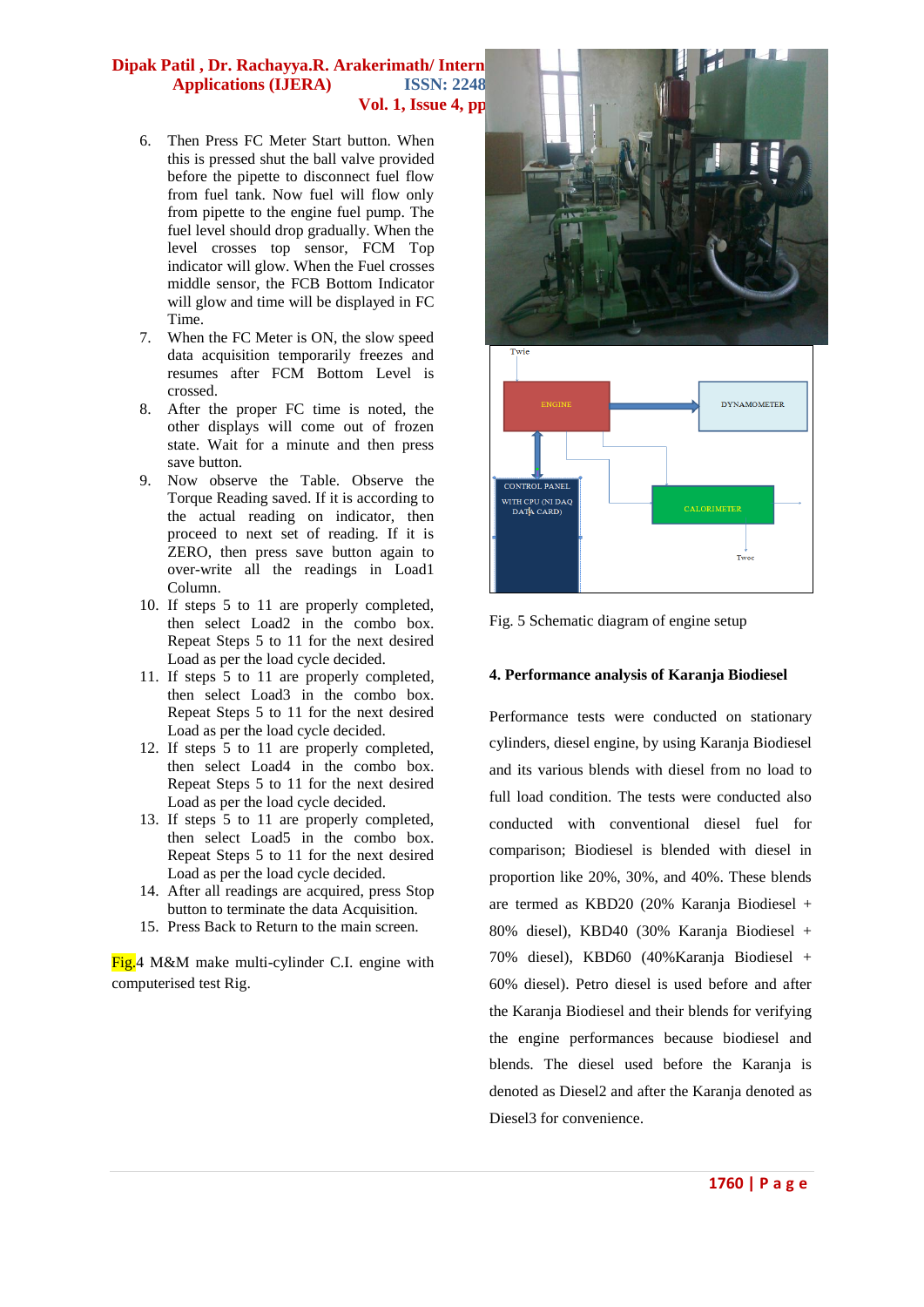# **Dipak Patil , Dr. Rachayya.R. Arakerimath/Intern** Applications (IJERA) **ISSN: 2248 Vol. 1, Issue 4, pp.1755-1763**

- 6. Then Press FC Meter Start button. When this is pressed shut the ball valve provided before the pipette to disconnect fuel flow from fuel tank. Now fuel will flow only from pipette to the engine fuel pump. The fuel level should drop gradually. When the level crosses top sensor, FCM Top indicator will glow. When the Fuel crosses middle sensor, the FCB Bottom Indicator will glow and time will be displayed in FC Time.
- 7. When the FC Meter is ON, the slow speed data acquisition temporarily freezes and resumes after FCM Bottom Level is crossed.
- 8. After the proper FC time is noted, the other displays will come out of frozen state. Wait for a minute and then press save button.
- 9. Now observe the Table. Observe the Torque Reading saved. If it is according to the actual reading on indicator, then proceed to next set of reading. If it is ZERO, then press save button again to over-write all the readings in Load1 Column.
- 10. If steps 5 to 11 are properly completed, then select Load2 in the combo box. Repeat Steps 5 to 11 for the next desired Load as per the load cycle decided.
- 11. If steps 5 to 11 are properly completed, then select Load3 in the combo box. Repeat Steps 5 to 11 for the next desired Load as per the load cycle decided.
- 12. If steps 5 to 11 are properly completed, then select Load4 in the combo box. Repeat Steps 5 to 11 for the next desired Load as per the load cycle decided.
- 13. If steps 5 to 11 are properly completed, then select Load5 in the combo box. Repeat Steps 5 to 11 for the next desired Load as per the load cycle decided.
- 14. After all readings are acquired, press Stop button to terminate the data Acquisition.
- 15. Press Back to Return to the main screen.

Fig.4 M&M make multi-cylinder C.I. engine with computerised test Rig.





# **4. Performance analysis of Karanja Biodiesel**

Performance tests were conducted on stationary cylinders, diesel engine, by using Karanja Biodiesel and its various blends with diesel from no load to full load condition. The tests were conducted also conducted with conventional diesel fuel for comparison; Biodiesel is blended with diesel in proportion like 20%, 30%, and 40%. These blends are termed as KBD20 (20% Karanja Biodiesel + 80% diesel), KBD40 (30% Karanja Biodiesel + 70% diesel), KBD60 (40%Karanja Biodiesel + 60% diesel). Petro diesel is used before and after the Karanja Biodiesel and their blends for verifying the engine performances because biodiesel and blends. The diesel used before the Karanja is denoted as Diesel2 and after the Karanja denoted as Diesel3 for convenience.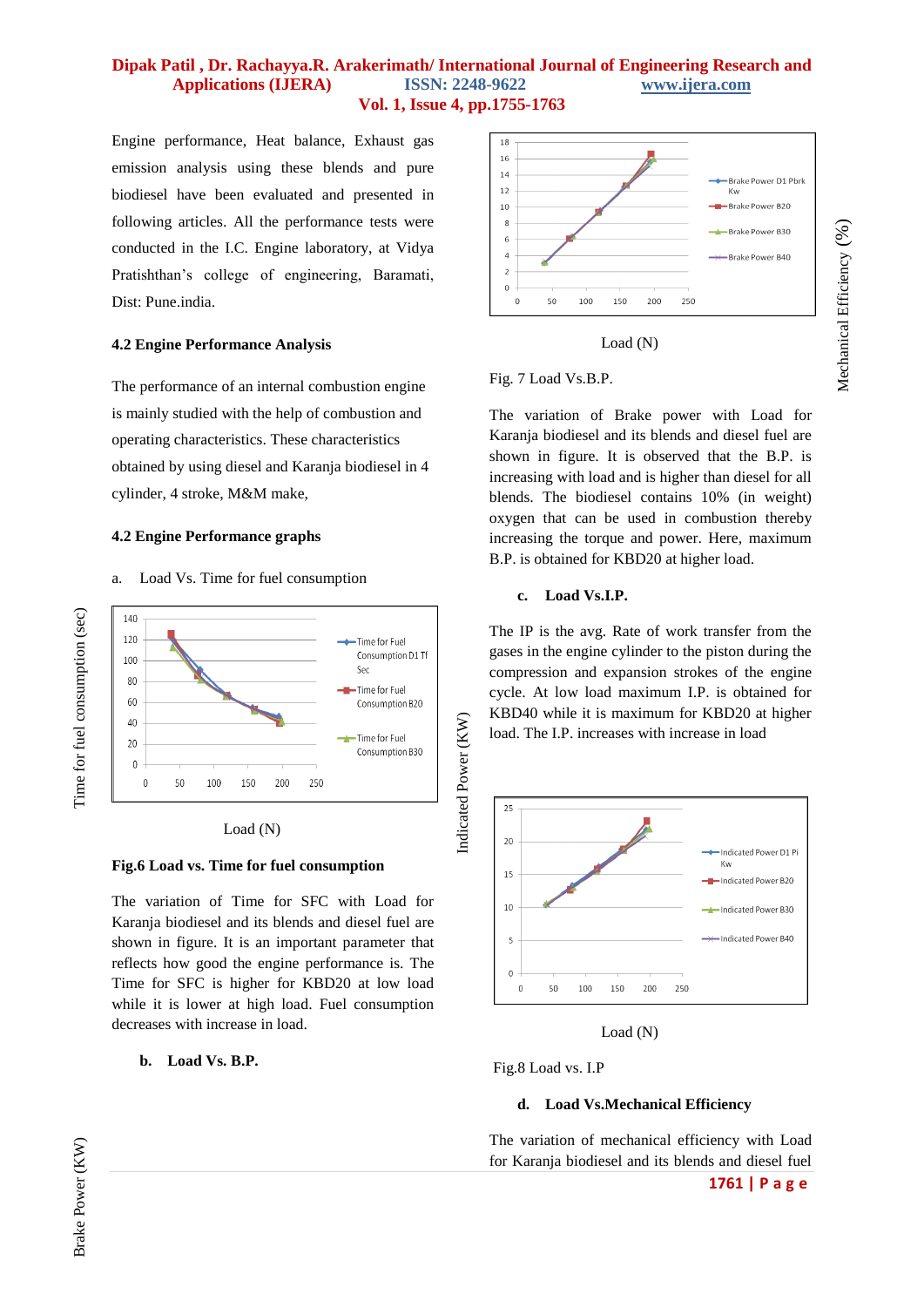Engine performance, Heat balance, Exhaust gas emission analysis using these blends and pure biodiesel have been evaluated and presented in following articles. All the performance tests were conducted in the I.C. Engine laboratory, at Vidya Pratishthan's college of engineering, Baramati, Dist: Pune.india.

#### **4.2 Engine Performance Analysis**

The performance of an internal combustion engine is mainly studied with the help of combustion and operating characteristics. These characteristics obtained by using diesel and Karanja biodiesel in 4 cylinder, 4 stroke, M&M make,

## **4.2 Engine Performance graphs**

a. Load Vs. Time for fuel consumption





#### **Fig.6 Load vs. Time for fuel consumption**

The variation of Time for SFC with Load for Karanja biodiesel and its blends and diesel fuel are shown in figure. It is an important parameter that reflects how good the engine performance is. The Time for SFC is higher for KBD20 at low load while it is lower at high load. Fuel consumption decreases with increase in load.

#### **b. Load Vs. B.P.**



Mechanical Efficiency (%)

Mechanical Efficiency (%)



#### Fig. 7 Load Vs.B.P.

The variation of Brake power with Load for Karanja biodiesel and its blends and diesel fuel are shown in figure. It is observed that the B.P. is increasing with load and is higher than diesel for all blends. The biodiesel contains 10% (in weight) oxygen that can be used in combustion thereby increasing the torque and power. Here, maximum B.P. is obtained for KBD20 at higher load.

#### **c. Load Vs.I.P.**

The IP is the avg. Rate of work transfer from the gases in the engine cylinder to the piston during the compression and expansion strokes of the engine cycle. At low load maximum I.P. is obtained for KBD40 while it is maximum for KBD20 at higher load. The I.P. increases with increase in load



Load (N)

Fig.8 Load vs. I.P

#### **d. Load Vs.Mechanical Efficiency**

The variation of mechanical efficiency with Load for Karanja biodiesel and its blends and diesel fuel

Brake Power (KW)

Brake Power (KW)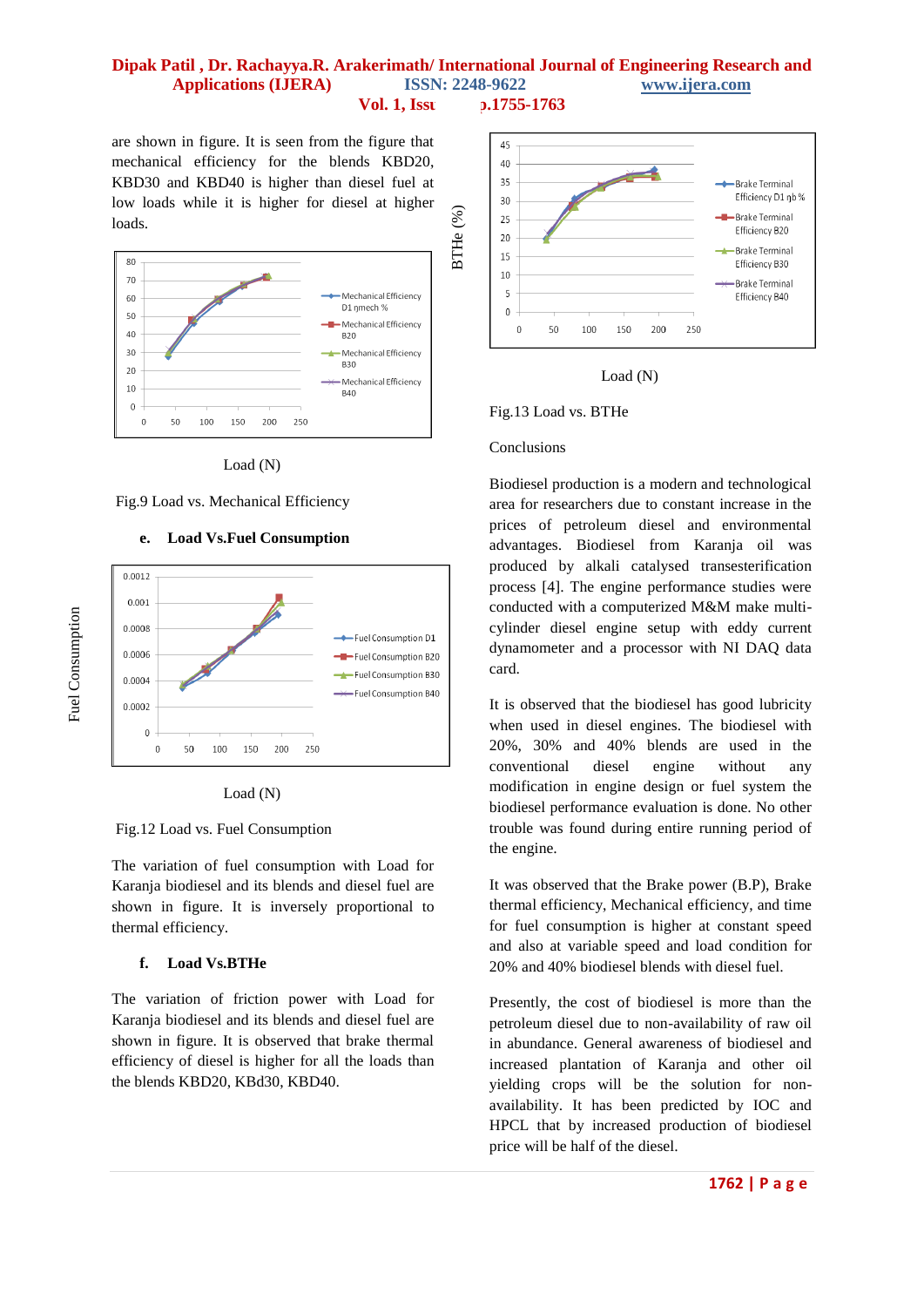are shown in figure. It is seen from the figure that mechanical efficiency for the blends KBD20, KBD30 and KBD40 is higher than diesel fuel at low loads while it is higher for diesel at higher loads.



Load (N)





## **e. Load Vs.Fuel Consumption**



Fig.12 Load vs. Fuel Consumption

The variation of fuel consumption with Load for Karanja biodiesel and its blends and diesel fuel are shown in figure. It is inversely proportional to thermal efficiency.

#### **f. Load Vs.BTHe**

The variation of friction power with Load for Karanja biodiesel and its blends and diesel fuel are shown in figure. It is observed that brake thermal efficiency of diesel is higher for all the loads than the blends KBD20, KBd30, KBD40.





Fig.13 Load vs. BTHe

#### Conclusions

Biodiesel production is a modern and technological area for researchers due to constant increase in the prices of petroleum diesel and environmental advantages. Biodiesel from Karanja oil was produced by alkali catalysed transesterification process [4]. The engine performance studies were conducted with a computerized M&M make multicylinder diesel engine setup with eddy current dynamometer and a processor with NI DAQ data card.

It is observed that the biodiesel has good lubricity when used in diesel engines. The biodiesel with 20%, 30% and 40% blends are used in the conventional diesel engine without any modification in engine design or fuel system the biodiesel performance evaluation is done. No other trouble was found during entire running period of the engine.

It was observed that the Brake power (B.P), Brake thermal efficiency, Mechanical efficiency, and time for fuel consumption is higher at constant speed and also at variable speed and load condition for 20% and 40% biodiesel blends with diesel fuel.

Presently, the cost of biodiesel is more than the petroleum diesel due to non-availability of raw oil in abundance. General awareness of biodiesel and increased plantation of Karanja and other oil yielding crops will be the solution for nonavailability. It has been predicted by IOC and HPCL that by increased production of biodiesel price will be half of the diesel.